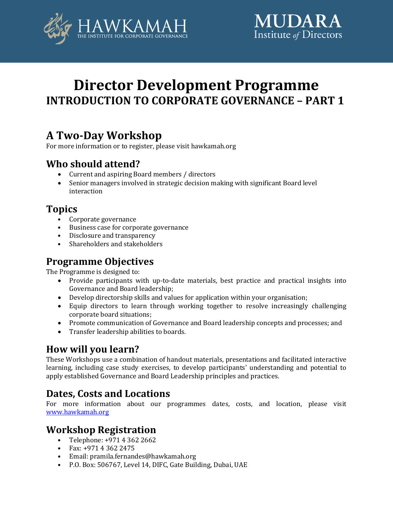



# **Director Development Programme INTRODUCTION TO CORPORATE GOVERNANCE – PART 1**

# **A Two-Day Workshop**

For more information or to register, please visit hawkamah.org

## **Who should attend?**

- Current and aspiring Board members / directors
- Senior managers involved in strategic decision making with significant Board level interaction

## **Topics**

- Corporate governance
- Business case for corporate governance
- Disclosure and transparency
- Shareholders and stakeholders

## **Programme Objectives**

The Programme is designed to:

- Provide participants with up-to-date materials, best practice and practical insights into Governance and Board leadership;
- Develop directorship skills and values for application within your organisation;
- Equip directors to learn through working together to resolve increasingly challenging corporate board situations;
- Promote communication of Governance and Board leadership concepts and processes; and
- Transfer leadership abilities to boards.

## **How will you learn?**

These Workshops use a combination of handout materials, presentations and facilitated interactive learning, including case study exercises, to develop participants' understanding and potential to apply established Governance and Board Leadership principles and practices.

## **Dates, Costs and Locations**

For more information about our programmes dates, costs, and location, please visit [www.hawkamah.org](http://www.hawkamah.org/)

## **Workshop Registration**

- Telephone: +971 4 362 2662
- Fax: +971 4 362 2475
- Email: pramila.fernandes@hawkamah.org
- P.O. Box: 506767, Level 14, DIFC, Gate Building, Dubai, UAE